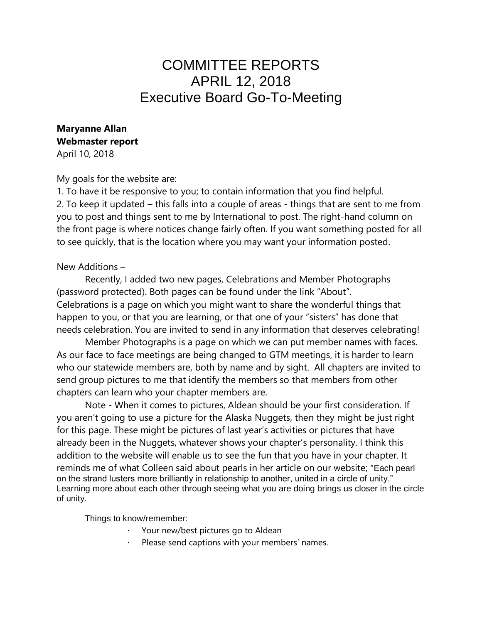# COMMITTEE REPORTS APRIL 12, 2018 Executive Board Go-To-Meeting

# **Maryanne Allan Webmaster report**

April 10, 2018

#### My goals for the website are:

1. To have it be responsive to you; to contain information that you find helpful. 2. To keep it updated – this falls into a couple of areas - things that are sent to me from you to post and things sent to me by International to post. The right-hand column on the front page is where notices change fairly often. If you want something posted for all to see quickly, that is the location where you may want your information posted.

#### New Additions –

Recently, I added two new pages, Celebrations and Member Photographs (password protected). Both pages can be found under the link "About". Celebrations is a page on which you might want to share the wonderful things that happen to you, or that you are learning, or that one of your "sisters" has done that needs celebration. You are invited to send in any information that deserves celebrating!

Member Photographs is a page on which we can put member names with faces. As our face to face meetings are being changed to GTM meetings, it is harder to learn who our statewide members are, both by name and by sight. All chapters are invited to send group pictures to me that identify the members so that members from other chapters can learn who your chapter members are.

Note - When it comes to pictures, Aldean should be your first consideration. If you aren't going to use a picture for the Alaska Nuggets, then they might be just right for this page. These might be pictures of last year's activities or pictures that have already been in the Nuggets, whatever shows your chapter's personality. I think this addition to the website will enable us to see the fun that you have in your chapter. It reminds me of what Colleen said about pearls in her article on our website; "Each pearl on the strand lusters more brilliantly in relationship to another, united in a circle of unity." Learning more about each other through seeing what you are doing brings us closer in the circle of unity.

Things to know/remember:

- Your new/best pictures go to Aldean
- Please send captions with your members' names.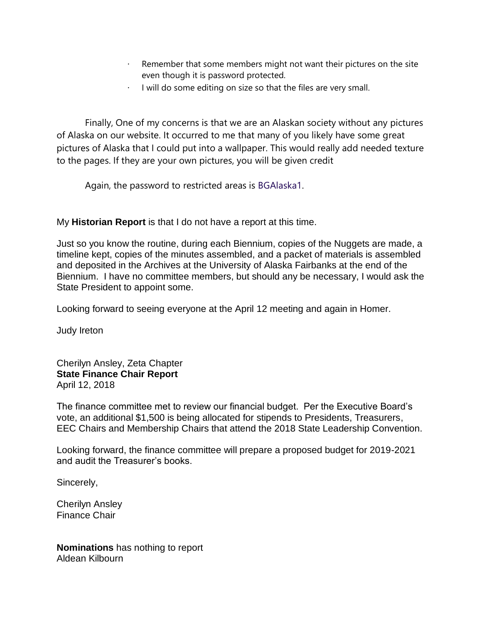- Remember that some members might not want their pictures on the site even though it is password protected.
- I will do some editing on size so that the files are very small.

Finally, One of my concerns is that we are an Alaskan society without any pictures of Alaska on our website. It occurred to me that many of you likely have some great pictures of Alaska that I could put into a wallpaper. This would really add needed texture to the pages. If they are your own pictures, you will be given credit

Again, the password to restricted areas is BGAlaska1.

My **Historian Report** is that I do not have a report at this time.

Just so you know the routine, during each Biennium, copies of the Nuggets are made, a timeline kept, copies of the minutes assembled, and a packet of materials is assembled and deposited in the Archives at the University of Alaska Fairbanks at the end of the Biennium. I have no committee members, but should any be necessary, I would ask the State President to appoint some.

Looking forward to seeing everyone at the April 12 meeting and again in Homer.

Judy Ireton

Cherilyn Ansley, Zeta Chapter **State Finance Chair Report** April 12, 2018

The finance committee met to review our financial budget. Per the Executive Board's vote, an additional \$1,500 is being allocated for stipends to Presidents, Treasurers, EEC Chairs and Membership Chairs that attend the 2018 State Leadership Convention.

Looking forward, the finance committee will prepare a proposed budget for 2019-2021 and audit the Treasurer's books.

Sincerely,

Cherilyn Ansley Finance Chair

**Nominations** has nothing to report Aldean Kilbourn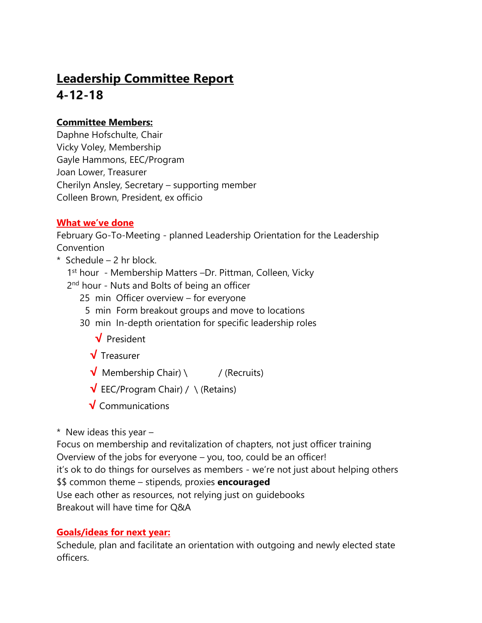# **Leadership Committee Report 4-12-18**

## **Committee Members:**

Daphne Hofschulte, Chair Vicky Voley, Membership Gayle Hammons, EEC/Program Joan Lower, Treasurer Cherilyn Ansley, Secretary – supporting member Colleen Brown, President, ex officio

### **What we've done**

February Go-To-Meeting - planned Leadership Orientation for the Leadership **Convention** 

- \* Schedule 2 hr block.
- 1<sup>st</sup> hour Membership Matters -Dr. Pittman, Colleen, Vicky
- 2<sup>nd</sup> hour Nuts and Bolts of being an officer
	- 25 min Officer overview for everyone
	- 5 min Form breakout groups and move to locations
	- 30 min In-depth orientation for specific leadership roles
		- **√** President
		- **√** Treasurer
		- **√** Membership Chair) \ / (Recruits)
		- **√** EEC/Program Chair) / \ (Retains)
		- **√** Communications

 $*$  New ideas this year  $-$ 

Focus on membership and revitalization of chapters, not just officer training Overview of the jobs for everyone – you, too, could be an officer! it's ok to do things for ourselves as members - we're not just about helping others \$\$ common theme – stipends, proxies **encouraged** Use each other as resources, not relying just on guidebooks Breakout will have time for Q&A

## **Goals/ideas for next year:**

Schedule, plan and facilitate an orientation with outgoing and newly elected state officers.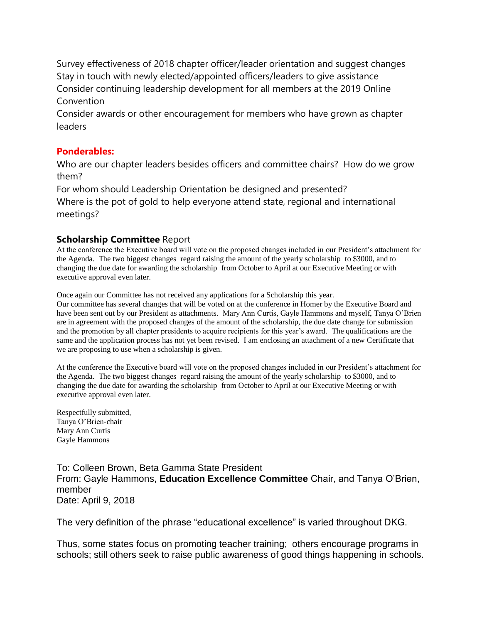Survey effectiveness of 2018 chapter officer/leader orientation and suggest changes Stay in touch with newly elected/appointed officers/leaders to give assistance Consider continuing leadership development for all members at the 2019 Online **Convention** 

Consider awards or other encouragement for members who have grown as chapter leaders

#### **Ponderables:**

Who are our chapter leaders besides officers and committee chairs? How do we grow them?

For whom should Leadership Orientation be designed and presented?

Where is the pot of gold to help everyone attend state, regional and international meetings?

#### **Scholarship Committee** Report

At the conference the Executive board will vote on the proposed changes included in our President's attachment for the Agenda. The two biggest changes regard raising the amount of the yearly scholarship to \$3000, and to changing the due date for awarding the scholarship from October to April at our Executive Meeting or with executive approval even later.

Once again our Committee has not received any applications for a Scholarship this year.

Our committee has several changes that will be voted on at the conference in Homer by the Executive Board and have been sent out by our President as attachments. Mary Ann Curtis, Gayle Hammons and myself, Tanya O'Brien are in agreement with the proposed changes of the amount of the scholarship, the due date change for submission and the promotion by all chapter presidents to acquire recipients for this year's award. The qualifications are the same and the application process has not yet been revised. I am enclosing an attachment of a new Certificate that we are proposing to use when a scholarship is given.

At the conference the Executive board will vote on the proposed changes included in our President's attachment for the Agenda. The two biggest changes regard raising the amount of the yearly scholarship to \$3000, and to changing the due date for awarding the scholarship from October to April at our Executive Meeting or with executive approval even later.

Respectfully submitted, Tanya O'Brien-chair Mary Ann Curtis Gayle Hammons

To: Colleen Brown, Beta Gamma State President From: Gayle Hammons, **Education Excellence Committee** Chair, and Tanya O'Brien, member Date: April 9, 2018

The very definition of the phrase "educational excellence" is varied throughout DKG.

Thus, some states focus on promoting teacher training; others encourage programs in schools; still others seek to raise public awareness of good things happening in schools.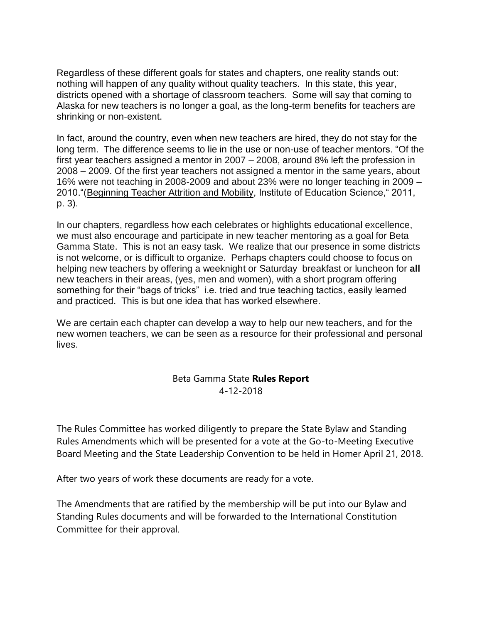Regardless of these different goals for states and chapters, one reality stands out: nothing will happen of any quality without quality teachers. In this state, this year, districts opened with a shortage of classroom teachers. Some will say that coming to Alaska for new teachers is no longer a goal, as the long-term benefits for teachers are shrinking or non-existent.

In fact, around the country, even when new teachers are hired, they do not stay for the long term. The difference seems to lie in the use or non-use of teacher mentors. "Of the first year teachers assigned a mentor in 2007 – 2008, around 8% left the profession in 2008 – 2009. Of the first year teachers not assigned a mentor in the same years, about 16% were not teaching in 2008-2009 and about 23% were no longer teaching in 2009 – 2010."[\(Beginning Teacher Attrition and Mobility,](http://www.dkg.org/DKGDocs/EEC_Beginning_%20Teacher_Attrition.pdf) Institute of Education Science," 2011, p. 3).

In our chapters, regardless how each celebrates or highlights educational excellence, we must also encourage and participate in new teacher mentoring as a goal for Beta Gamma State. This is not an easy task. We realize that our presence in some districts is not welcome, or is difficult to organize. Perhaps chapters could choose to focus on helping new teachers by offering a weeknight or Saturday breakfast or luncheon for **all** new teachers in their areas, (yes, men and women), with a short program offering something for their "bags of tricks" i.e. tried and true teaching tactics, easily learned and practiced. This is but one idea that has worked elsewhere.

We are certain each chapter can develop a way to help our new teachers, and for the new women teachers, we can be seen as a resource for their professional and personal lives.

#### Beta Gamma State **Rules Report** 4-12-2018

The Rules Committee has worked diligently to prepare the State Bylaw and Standing Rules Amendments which will be presented for a vote at the Go-to-Meeting Executive Board Meeting and the State Leadership Convention to be held in Homer April 21, 2018.

After two years of work these documents are ready for a vote.

The Amendments that are ratified by the membership will be put into our Bylaw and Standing Rules documents and will be forwarded to the International Constitution Committee for their approval.